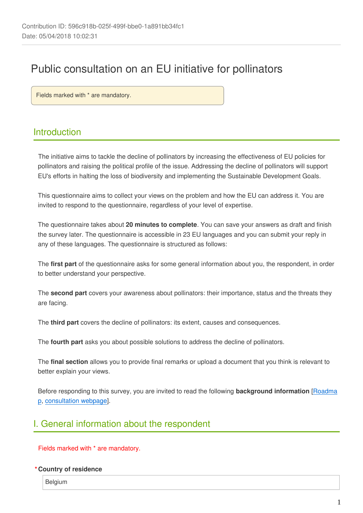# Public consultation on an EU initiative for pollinators

Fields marked with \* are mandatory.

## Introduction

The initiative aims to tackle the decline of pollinators by increasing the effectiveness of EU policies for pollinators and raising the political profile of the issue. Addressing the decline of pollinators will support EU's efforts in halting the loss of biodiversity and implementing the Sustainable Development Goals.

This questionnaire aims to collect your views on the problem and how the EU can address it. You are invited to respond to the questionnaire, regardless of your level of expertise.

The questionnaire takes about **20 minutes to complete**. You can save your answers as draft and finish the survey later. The questionnaire is accessible in 23 EU languages and you can submit your reply in any of these languages. The questionnaire is structured as follows:

The **first part** of the questionnaire asks for some general information about you, the respondent, in order to better understand your perspective.

The **second part** covers your awareness about pollinators: their importance, status and the threats they are facing.

The **third part** covers the decline of pollinators: its extent, causes and consequences.

The **fourth part** asks you about possible solutions to address the decline of pollinators.

The **final section** allows you to provide final remarks or upload a document that you think is relevant to better explain your views.

Before responding to this survey, you are invited to read the following **background information** [[Roadma](http://ec.europa.eu/environment/nature/pdf/roadmap-for-the-eu-pollinators-initiative.pdf) [p](http://ec.europa.eu/environment/nature/pdf/roadmap-for-the-eu-pollinators-initiative.pdf), [consultation webpage\]](http://ec.europa.eu/environment/nature/conservation/species/pollinators/index_en.htm).

## I. General information about the respondent

Fields marked with \* are mandatory.

#### **\*Country of residence**

Belgium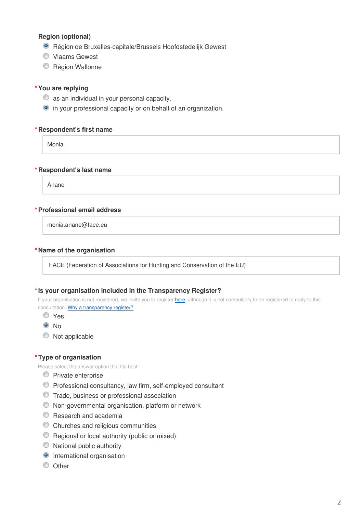#### **Region (optional)**

- Région de Bruxelles-capitale/Brussels Hoofdstedelijk Gewest
- Vlaams Gewest
- C Région Wallonne

#### **\*You are replying**

- $\bullet$  as an individual in your personal capacity.
- $\bullet$  in your professional capacity or on behalf of an organization.

#### **\*Respondent's first name**

Monia

#### **\*Respondent's last name**

Anane

#### **\*Professional email address**

monia.anane@face.eu

#### **\*Name of the organisation**

FACE (Federation of Associations for Hunting and Conservation of the EU)

#### **\*Is your organisation included in the Transparency Register?**

If your organisation is not registered, we invite you to register [here,](https://ec.europa.eu/transparencyregister/public/ri/registering.do?locale=en) although it is not compulsory to be registered to reply to this consultation. [Why a transparency register?](http://ec.europa.eu/transparencyregister/public/staticPage/displayStaticPage.do?locale=en&reference=WHY_TRANSPARENCY_REGISTER)

- Yes
- $\odot$  No
- $\bullet$  Not applicable

#### **\*Type of organisation**

Please select the answer option that fits best.

- **Private enterprise**
- Professional consultancy, law firm, self-employed consultant
- Trade, business or professional association
- Non-governmental organisation, platform or network
- **C** Research and academia
- Churches and religious communities
- **C** Regional or local authority (public or mixed)
- $\bullet$  National public authority
- **O** International organisation
- O Other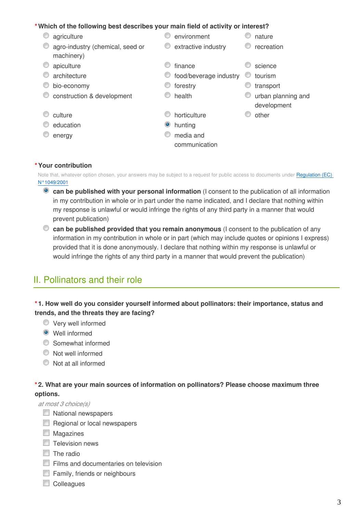#### **\*Which of the following best describes your main field of activity or interest?**

**C** agriculture environment and a mature  $\bullet$  agro-industry (chemical, seed or machinery)  $\bullet$  extractive industry  $\bullet$  recreation  $\bullet$  apiculture  $\bullet$  finance  $\bullet$  science **O** architecture **food/beverage industry C** tourism  $\bullet$  bio-economy example transport **C** construction & development **C** health **urban planning and** development **C** culture **culture** culture other **education** education and the state of the hunting **C** energy media and communication

#### **\*Your contribution**

Note that, whatever option chosen, your answers may be subject to a request for public access to documents under Regulation (EC) [N°1049/2001](http://www.europarl.europa.eu/RegData/PDF/r1049_en.pdf)

- **can be published with your personal information** (I consent to the publication of all information in my contribution in whole or in part under the name indicated, and I declare that nothing within my response is unlawful or would infringe the rights of any third party in a manner that would prevent publication)
- **can be published provided that you remain anonymous** (I consent to the publication of any information in my contribution in whole or in part (which may include quotes or opinions I express) provided that it is done anonymously. I declare that nothing within my response is unlawful or would infringe the rights of any third party in a manner that would prevent the publication)

## II. Pollinators and their role

#### **\* 1. How well do you consider yourself informed about pollinators: their importance, status and trends, and the threats they are facing?**

- Very well informed
- Well informed
- Somewhat informed
- Not well informed
- $\bullet$  Not at all informed

#### **\* 2. What are your main sources of information on pollinators? Please choose maximum three options.**

*at most 3 choice(s)*

- National newspapers
- Regional or local newspapers
- **Magazines**
- $\Box$  Television news
- $\Box$  The radio
- Films and documentaries on television
- **Family, friends or neighbours**
- Colleagues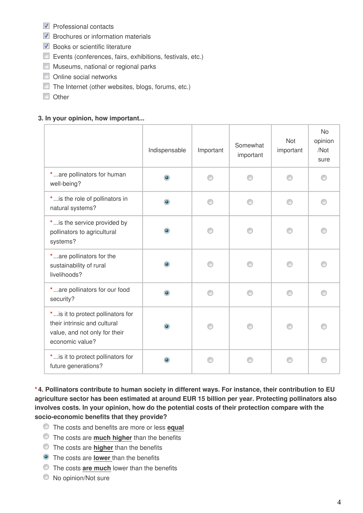- $\nabla$  Professional contacts
- $\triangledown$  Brochures or information materials
- Books or scientific literature
- Events (conferences, fairs, exhibitions, festivals, etc.)
- **Museums, national or regional parks**
- **Online social networks**
- The Internet (other websites, blogs, forums, etc.)
- Other

#### **3. In your opinion, how important...**

|                                                                                                                       | Indispensable | Important | Somewhat<br>important | <b>Not</b><br>important | <b>No</b><br>opinion<br>/Not<br>sure |
|-----------------------------------------------------------------------------------------------------------------------|---------------|-----------|-----------------------|-------------------------|--------------------------------------|
| *are pollinators for human<br>well-being?                                                                             | $\bullet$     |           |                       |                         |                                      |
| *is the role of pollinators in<br>natural systems?                                                                    | $\bullet$     |           |                       | ⋒                       |                                      |
| *is the service provided by<br>pollinators to agricultural<br>systems?                                                | ۰             |           |                       |                         |                                      |
| *are pollinators for the<br>sustainability of rural<br>livelihoods?                                                   | $\bullet$     |           |                       |                         |                                      |
| *are pollinators for our food<br>security?                                                                            | ۰             | ∩         |                       | ∩                       |                                      |
| *is it to protect pollinators for<br>their intrinsic and cultural<br>value, and not only for their<br>economic value? | ۰             |           |                       |                         |                                      |
| *is it to protect pollinators for<br>future generations?                                                              | $\bullet$     |           |                       | ⋒                       |                                      |

**\* 4. Pollinators contribute to human society in different ways. For instance, their contribution to EU agriculture sector has been estimated at around EUR 15 billion per year. Protecting pollinators also involves costs. In your opinion, how do the potential costs of their protection compare with the socio-economic benefits that they provide?**

- The costs and benefits are more or less **equal**
- The costs are **much higher** than the benefits
- The costs are **higher** than the benefits
- The costs are **lower** than the benefits
- The costs **are much** lower than the benefits
- $\bullet$  No opinion/Not sure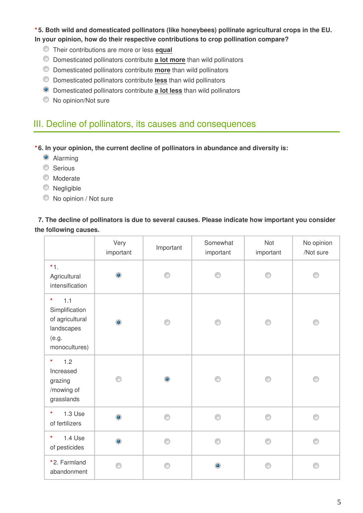#### **\* 5. Both wild and domesticated pollinators (like honeybees) pollinate agricultural crops in the EU. In your opinion, how do their respective contributions to crop pollination compare?**

- Their contributions are more or less **equal**
- Domesticated pollinators contribute **a lot more** than wild pollinators
- Domesticated pollinators contribute **more** than wild pollinators
- Domesticated pollinators contribute **less** than wild pollinators
- Domesticated pollinators contribute **a lot less** than wild pollinators
- $\bullet$  No opinion/Not sure

## III. Decline of pollinators, its causes and consequences

**\* 6. In your opinion, the current decline of pollinators in abundance and diversity is:**

- Alarming
- **Serious**
- **Moderate**
- **Negligible**
- $\bullet$  No opinion / Not sure

#### **7. The decline of pollinators is due to several causes. Please indicate how important you consider the following causes.**

|                                                                                             | Very<br>important | Important | Somewhat<br>important | Not<br>important | No opinion<br>/Not sure |
|---------------------------------------------------------------------------------------------|-------------------|-----------|-----------------------|------------------|-------------------------|
| $*1.$<br>Agricultural<br>intensification                                                    | $\bullet$         |           |                       |                  |                         |
| $\star$<br>1.1<br>Simplification<br>of agricultural<br>landscapes<br>(e.g.<br>monocultures) | $\bullet$         |           | ⊙                     | ∩                | ∩                       |
| 1.2<br>*<br>Increased<br>grazing<br>/mowing of<br>grasslands                                |                   | $\bullet$ |                       | ∩                | ∩                       |
| $\star$<br>1.3 Use<br>of fertilizers                                                        | $\bullet$         | ∩         | ⊙                     | ∩                | ⋒                       |
| $\star$<br>1.4 Use<br>of pesticides                                                         | $\bullet$         | ⋒         | ⊙                     | A                |                         |
| *2. Farmland<br>abandonment                                                                 |                   | ⋒         | $\bullet$             | A                |                         |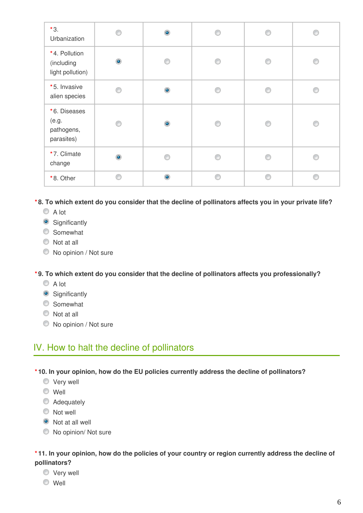| $*3.$<br>Urbanization                             | ⋒         | $\bullet$      |   | € | ß |
|---------------------------------------------------|-----------|----------------|---|---|---|
| *4. Pollution<br>(including<br>light pollution)   | $\bullet$ | ⋒              |   | ⋒ | ⋒ |
| *5. Invasive<br>alien species                     | ⋒         | $\bullet$      | ⋒ | € | ⋒ |
| *6. Diseases<br>(e.g.<br>pathogens,<br>parasites) | ⋒         | $\bullet$      |   | € | ⊙ |
| *7. Climate<br>change                             | $\bullet$ | e              |   | ⋒ | P |
| *8. Other                                         | A         | $\circledcirc$ | A | € | ⋒ |

**\* 8. To which extent do you consider that the decline of pollinators affects you in your private life?**

- A lot
- **Significantly**
- **Somewhat**
- $\bullet$  Not at all
- $\bullet$  No opinion / Not sure

**\* 9. To which extent do you consider that the decline of pollinators affects you professionally?**

- A lot
- **Significantly**
- **Somewhat**
- $\bullet$  Not at all
- $\bullet$  No opinion / Not sure

## IV. How to halt the decline of pollinators

**\* 10. In your opinion, how do the EU policies currently address the decline of pollinators?**

- Very well
- Well
- **Adequately**
- Not well
- $\bullet$  Not at all well
- $\bullet$  No opinion/ Not sure

#### **\* 11. In your opinion, how do the policies of your country or region currently address the decline of pollinators?**

- Very well
- Well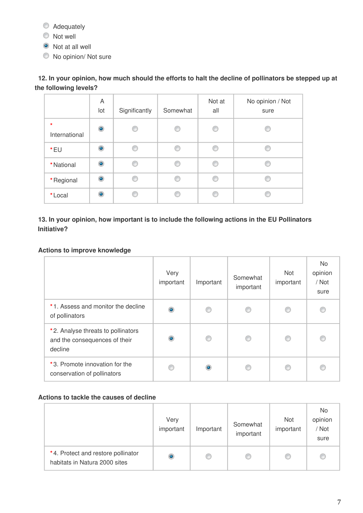- $\bullet$  Adequately
- Not well
- Not at all well
- $\bullet$  No opinion/ Not sure

### **12. In your opinion, how much should the efforts to halt the decline of pollinators be stepped up at the following levels?**

|                          | A<br>lot       | Significantly | Somewhat | Not at<br>all | No opinion / Not<br>sure |
|--------------------------|----------------|---------------|----------|---------------|--------------------------|
| $\star$<br>International | $\bullet$      | C             | ◎        | ⋒             |                          |
| *EU                      | $\circledcirc$ | €             | €        | A             |                          |
| *National                | $\circledcirc$ | ⋒             | C        |               |                          |
| * Regional               | $\bullet$      |               | C        |               |                          |
| *Local                   | ۵              |               |          |               |                          |

#### **13. In your opinion, how important is to include the following actions in the EU Pollinators Initiative?**

#### **Actions to improve knowledge**

|                                                                                | Very<br>important | Important | Somewhat<br>important | <b>Not</b><br>important | No<br>opinion<br>/ Not<br>sure |
|--------------------------------------------------------------------------------|-------------------|-----------|-----------------------|-------------------------|--------------------------------|
| *1. Assess and monitor the decline<br>of pollinators                           | $\circledcirc$    | ⋒         |                       | €                       |                                |
| *2. Analyse threats to pollinators<br>and the consequences of their<br>decline | ۱                 | ⋒         | ⋒                     | ⋒                       | C                              |
| *3. Promote innovation for the<br>conservation of pollinators                  |                   |           |                       |                         |                                |

#### **Actions to tackle the causes of decline**

|                                                                     | Very<br>important | Important | Somewhat<br>important | Not<br>important | No<br>opinion<br>/ Not<br>sure |
|---------------------------------------------------------------------|-------------------|-----------|-----------------------|------------------|--------------------------------|
| *4. Protect and restore pollinator<br>habitats in Natura 2000 sites | $\circ$           |           | w                     | €                |                                |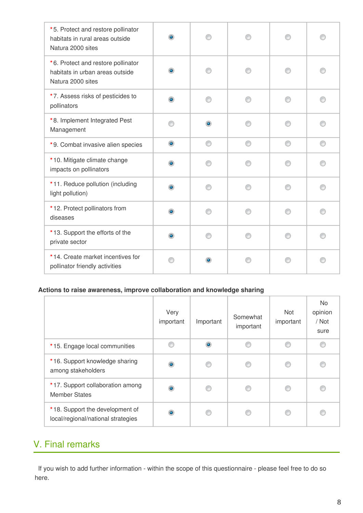| *5. Protect and restore pollinator<br>habitats in rural areas outside<br>Natura 2000 sites | $\circledcirc$ |           |   |   |   |
|--------------------------------------------------------------------------------------------|----------------|-----------|---|---|---|
| *6. Protect and restore pollinator<br>habitats in urban areas outside<br>Natura 2000 sites | ۰              |           |   |   |   |
| *7. Assess risks of pesticides to<br>pollinators                                           | $\circledcirc$ |           |   |   |   |
| *8. Implement Integrated Pest<br>Management                                                | ⋒              | $\bullet$ | ∩ | ∩ |   |
| *9. Combat invasive alien species                                                          | $\bullet$      | ⊙         | ⊙ | ⊙ | ⊙ |
| *10. Mitigate climate change<br>impacts on pollinators                                     | ۰              |           |   |   |   |
| *11. Reduce pollution (including<br>light pollution)                                       | $\bullet$      |           |   |   |   |
| *12. Protect pollinators from<br>diseases                                                  | $\circledcirc$ |           | ∩ | ∩ |   |
| *13. Support the efforts of the<br>private sector                                          | ۰              |           |   | ∩ |   |
| *14. Create market incentives for<br>pollinator friendly activities                        |                | $\bullet$ |   |   |   |

#### **Actions to raise awareness, improve collaboration and knowledge sharing**

|                                                                       | Very<br>important | Important | Somewhat<br>important | <b>Not</b><br>important | No.<br>opinion<br>/ Not<br>sure |
|-----------------------------------------------------------------------|-------------------|-----------|-----------------------|-------------------------|---------------------------------|
| *15. Engage local communities                                         |                   | $\bullet$ | ⋒                     | ⋒                       |                                 |
| *16. Support knowledge sharing<br>among stakeholders                  | $\bullet$         | ⋒         | ⋒                     | ⋒                       |                                 |
| *17. Support collaboration among<br><b>Member States</b>              | $\bullet$         | ⋒         | ⋒                     | ⋒                       |                                 |
| *18. Support the development of<br>local/regional/national strategies | ۰                 | C         |                       | ß                       |                                 |

## V. Final remarks

If you wish to add further information - within the scope of this questionnaire - please feel free to do so here.